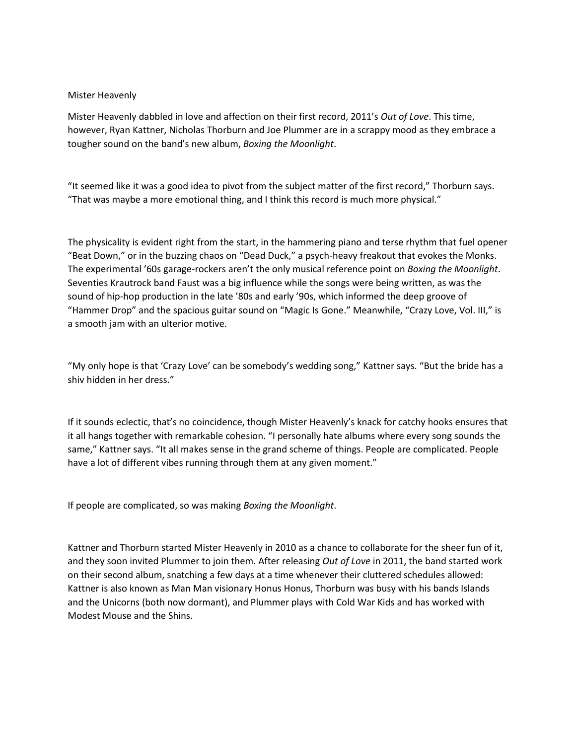## Mister Heavenly

Mister Heavenly dabbled in love and affection on their first record, 2011's *Out of Love*. This time, however, Ryan Kattner, Nicholas Thorburn and Joe Plummer are in a scrappy mood as they embrace a tougher sound on the band's new album, *Boxing the Moonlight*.

"It seemed like it was a good idea to pivot from the subject matter of the first record," Thorburn says. "That was maybe a more emotional thing, and I think this record is much more physical."

The physicality is evident right from the start, in the hammering piano and terse rhythm that fuel opener "Beat Down," or in the buzzing chaos on "Dead Duck," a psych-heavy freakout that evokes the Monks. The experimental '60s garage-rockers aren't the only musical reference point on *Boxing the Moonlight*. Seventies Krautrock band Faust was a big influence while the songs were being written, as was the sound of hip-hop production in the late '80s and early '90s, which informed the deep groove of "Hammer Drop" and the spacious guitar sound on "Magic Is Gone." Meanwhile, "Crazy Love, Vol. III," is a smooth jam with an ulterior motive.

"My only hope is that 'Crazy Love' can be somebody's wedding song," Kattner says. "But the bride has a shiv hidden in her dress."

If it sounds eclectic, that's no coincidence, though Mister Heavenly's knack for catchy hooks ensures that it all hangs together with remarkable cohesion. "I personally hate albums where every song sounds the same," Kattner says. "It all makes sense in the grand scheme of things. People are complicated. People have a lot of different vibes running through them at any given moment."

If people are complicated, so was making *Boxing the Moonlight*.

Kattner and Thorburn started Mister Heavenly in 2010 as a chance to collaborate for the sheer fun of it, and they soon invited Plummer to join them. After releasing *Out of Love* in 2011, the band started work on their second album, snatching a few days at a time whenever their cluttered schedules allowed: Kattner is also known as Man Man visionary Honus Honus, Thorburn was busy with his bands Islands and the Unicorns (both now dormant), and Plummer plays with Cold War Kids and has worked with Modest Mouse and the Shins.